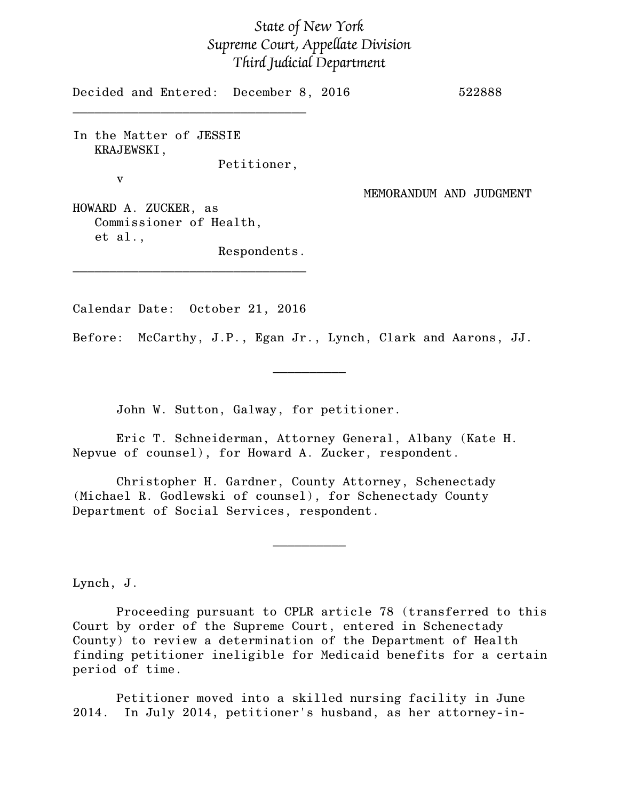## *State of New York Supreme Court, Appellate Division Third Judicial Department*

Decided and Entered: December 8, 2016 522888

In the Matter of JESSIE KRAJEWSKI, Petitioner,

\_\_\_\_\_\_\_\_\_\_\_\_\_\_\_\_\_\_\_\_\_\_\_\_\_\_\_\_\_\_\_\_

v

MEMORANDUM AND JUDGMENT

HOWARD A. ZUCKER, as Commissioner of Health, et al.,

Respondents.

Calendar Date: October 21, 2016

\_\_\_\_\_\_\_\_\_\_\_\_\_\_\_\_\_\_\_\_\_\_\_\_\_\_\_\_\_\_\_\_

Before: McCarthy, J.P., Egan Jr., Lynch, Clark and Aarons, JJ.

 $\frac{1}{2}$ 

John W. Sutton, Galway, for petitioner.

Eric T. Schneiderman, Attorney General, Albany (Kate H. Nepvue of counsel), for Howard A. Zucker, respondent.

Christopher H. Gardner, County Attorney, Schenectady (Michael R. Godlewski of counsel), for Schenectady County Department of Social Services, respondent.

Lynch, J.

Proceeding pursuant to CPLR article 78 (transferred to this Court by order of the Supreme Court, entered in Schenectady County) to review a determination of the Department of Health finding petitioner ineligible for Medicaid benefits for a certain period of time.

 $\frac{1}{2}$ 

Petitioner moved into a skilled nursing facility in June 2014. In July 2014, petitioner's husband, as her attorney-in-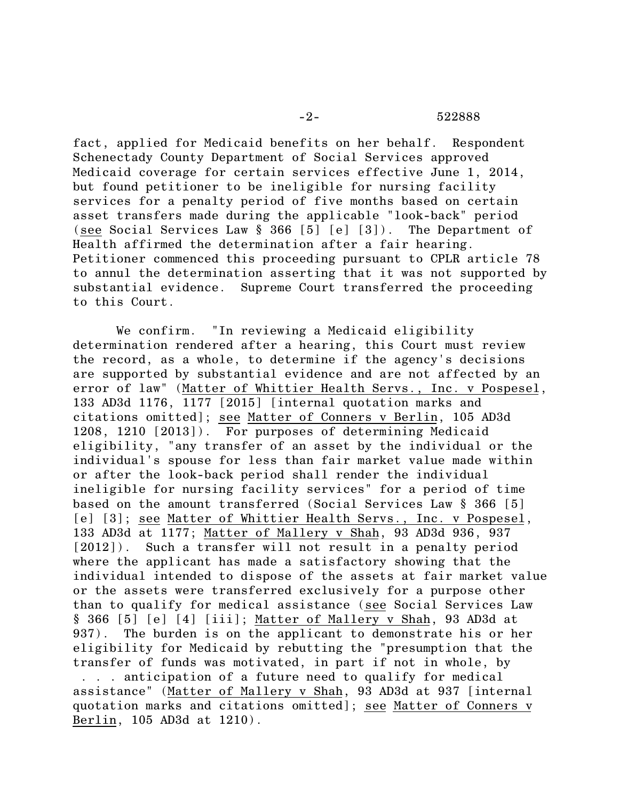fact, applied for Medicaid benefits on her behalf. Respondent Schenectady County Department of Social Services approved Medicaid coverage for certain services effective June 1, 2014, but found petitioner to be ineligible for nursing facility services for a penalty period of five months based on certain asset transfers made during the applicable "look-back" period (see Social Services Law § 366 [5] [e] [3]). The Department of Health affirmed the determination after a fair hearing. Petitioner commenced this proceeding pursuant to CPLR article 78 to annul the determination asserting that it was not supported by substantial evidence. Supreme Court transferred the proceeding to this Court.

We confirm. "In reviewing a Medicaid eligibility determination rendered after a hearing, this Court must review the record, as a whole, to determine if the agency's decisions are supported by substantial evidence and are not affected by an error of law" (Matter of Whittier Health Servs., Inc. v Pospesel, 133 AD3d 1176, 1177 [2015] [internal quotation marks and citations omitted]; see Matter of Conners v Berlin, 105 AD3d 1208, 1210 [2013]). For purposes of determining Medicaid eligibility, "any transfer of an asset by the individual or the individual's spouse for less than fair market value made within or after the look-back period shall render the individual ineligible for nursing facility services" for a period of time based on the amount transferred (Social Services Law § 366 [5] [e] [3]; see Matter of Whittier Health Servs., Inc. v Pospesel, 133 AD3d at 1177; Matter of Mallery v Shah, 93 AD3d 936, 937 [2012]). Such a transfer will not result in a penalty period where the applicant has made a satisfactory showing that the individual intended to dispose of the assets at fair market value or the assets were transferred exclusively for a purpose other than to qualify for medical assistance (see Social Services Law § 366 [5] [e] [4] [iii]; Matter of Mallery v Shah, 93 AD3d at 937). The burden is on the applicant to demonstrate his or her eligibility for Medicaid by rebutting the "presumption that the transfer of funds was motivated, in part if not in whole, by . . . anticipation of a future need to qualify for medical assistance" (Matter of Mallery v Shah, 93 AD3d at 937 [internal quotation marks and citations omitted]; see Matter of Conners v Berlin, 105 AD3d at 1210).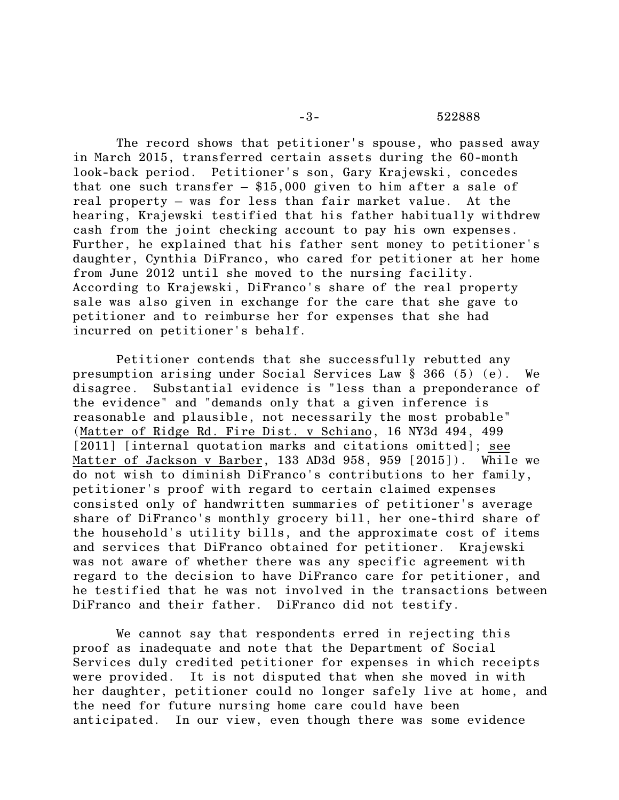## -3- 522888

The record shows that petitioner's spouse, who passed away in March 2015, transferred certain assets during the 60-month look-back period. Petitioner's son, Gary Krajewski, concedes that one such transfer – \$15,000 given to him after a sale of real property – was for less than fair market value. At the hearing, Krajewski testified that his father habitually withdrew cash from the joint checking account to pay his own expenses. Further, he explained that his father sent money to petitioner's daughter, Cynthia DiFranco, who cared for petitioner at her home from June 2012 until she moved to the nursing facility. According to Krajewski, DiFranco's share of the real property sale was also given in exchange for the care that she gave to petitioner and to reimburse her for expenses that she had incurred on petitioner's behalf.

Petitioner contends that she successfully rebutted any presumption arising under Social Services Law § 366 (5) (e). We disagree. Substantial evidence is "less than a preponderance of the evidence" and "demands only that a given inference is reasonable and plausible, not necessarily the most probable" (Matter of Ridge Rd. Fire Dist. v Schiano, 16 NY3d 494, 499 [2011] [internal quotation marks and citations omitted]; see Matter of Jackson v Barber, 133 AD3d 958, 959 [2015]). While we do not wish to diminish DiFranco's contributions to her family, petitioner's proof with regard to certain claimed expenses consisted only of handwritten summaries of petitioner's average share of DiFranco's monthly grocery bill, her one-third share of the household's utility bills, and the approximate cost of items and services that DiFranco obtained for petitioner. Krajewski was not aware of whether there was any specific agreement with regard to the decision to have DiFranco care for petitioner, and he testified that he was not involved in the transactions between DiFranco and their father. DiFranco did not testify.

We cannot say that respondents erred in rejecting this proof as inadequate and note that the Department of Social Services duly credited petitioner for expenses in which receipts were provided. It is not disputed that when she moved in with her daughter, petitioner could no longer safely live at home, and the need for future nursing home care could have been anticipated. In our view, even though there was some evidence